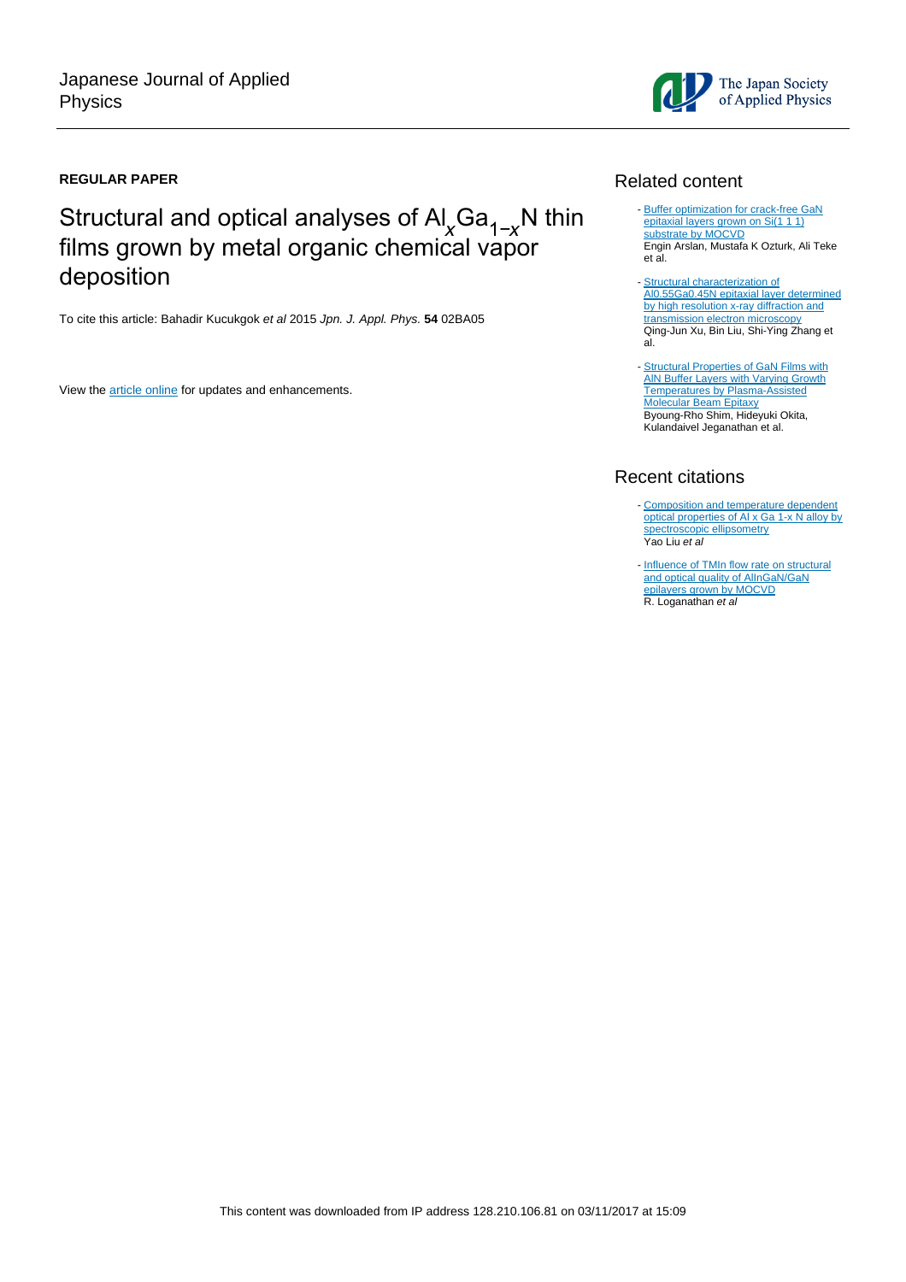### **REGULAR PAPER**

# Structural and optical analyses of Al<sub>x</sub>Ga<sub>1-x</sub>N thin films grown by metal organic chemical vapor deposition

To cite this article: Bahadir Kucukgok et al 2015 Jpn. J. Appl. Phys. **54** 02BA05

View the [article online](https://doi.org/10.7567/JJAP.54.02BA05) for updates and enhancements.

# Related content

- [Buffer optimization for crack-free GaN](http://iopscience.iop.org/article/10.1088/0022-3727/41/15/155317) [epitaxial layers grown on Si\(1 1 1\)](http://iopscience.iop.org/article/10.1088/0022-3727/41/15/155317) [substrate by MOCVD](http://iopscience.iop.org/article/10.1088/0022-3727/41/15/155317) Engin Arslan, Mustafa K Ozturk, Ali Teke et al.
- [Structural characterization of](http://iopscience.iop.org/article/10.1088/1674-1056/26/4/047801) [Al0.55Ga0.45N epitaxial layer determined](http://iopscience.iop.org/article/10.1088/1674-1056/26/4/047801) [by high resolution x-ray diffraction and](http://iopscience.iop.org/article/10.1088/1674-1056/26/4/047801) [transmission electron microscopy](http://iopscience.iop.org/article/10.1088/1674-1056/26/4/047801) Qing-Jun Xu, Bin Liu, Shi-Ying Zhang et al. -
- [Structural Properties of GaN Films with](http://iopscience.iop.org/article/10.1143/JJAP.42.2265) **AIN Buffer Layers with Varying Growth** [Temperatures by Plasma-Assisted](http://iopscience.iop.org/article/10.1143/JJAP.42.2265) [Molecular Beam Epitaxy](http://iopscience.iop.org/article/10.1143/JJAP.42.2265) **Byoung-Rho Shim, Hideyuki Okita,** Kulandaivel Jeganathan et al.

# Recent citations

- [Composition and temperature dependent](http://dx.doi.org/10.1016/j.apsusc.2017.01.309) [optical properties of Al x Ga 1-x N alloy by](http://dx.doi.org/10.1016/j.apsusc.2017.01.309) [spectroscopic ellipsometry](http://dx.doi.org/10.1016/j.apsusc.2017.01.309) Yao Liu et al
- [Influence of TMIn flow rate on structural](http://dx.doi.org/10.1016/j.jallcom.2015.10.019) [and optical quality of AlInGaN/GaN](http://dx.doi.org/10.1016/j.jallcom.2015.10.019) [epilayers grown by MOCVD](http://dx.doi.org/10.1016/j.jallcom.2015.10.019)<br>R. Loganathan *et al*

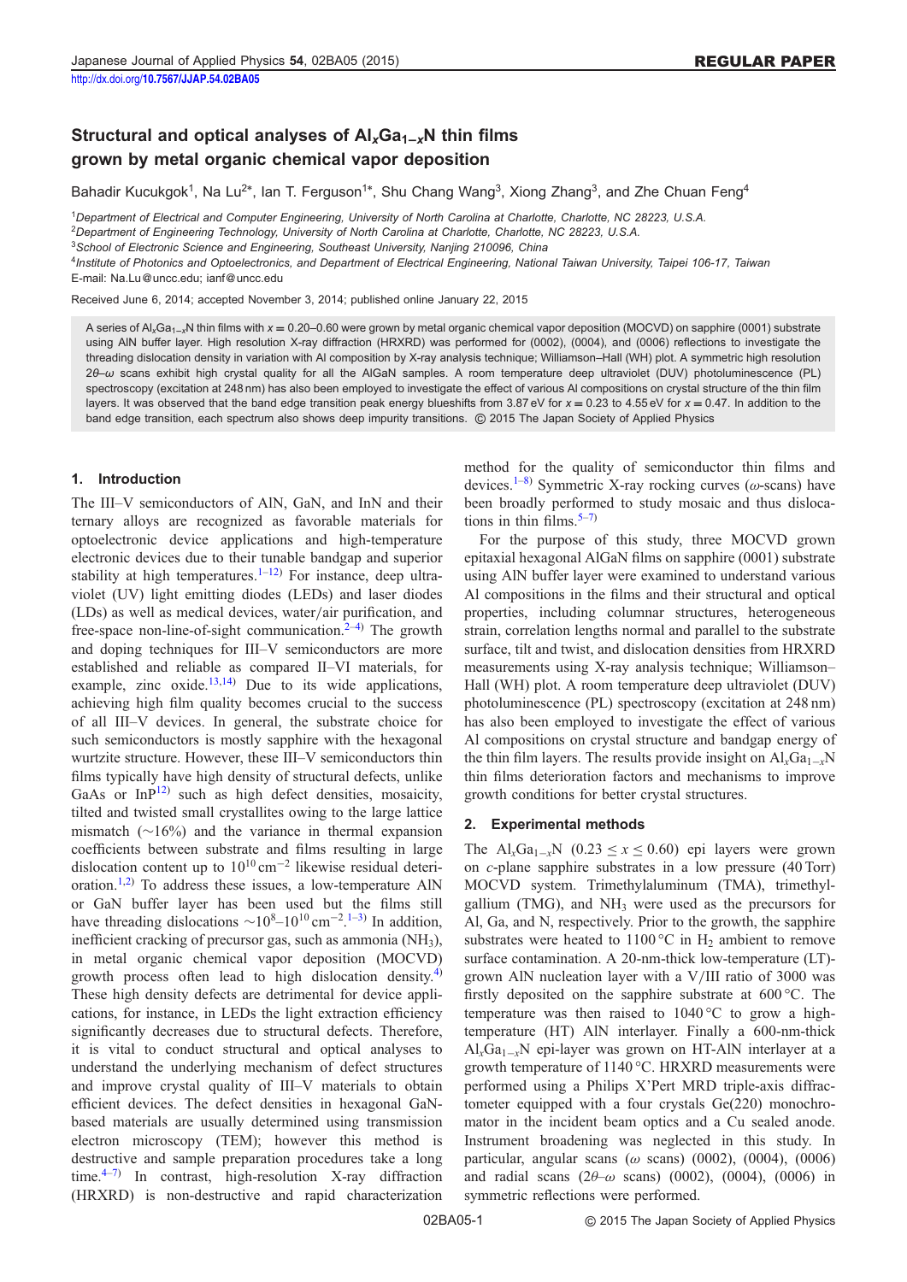## Structural and optical analyses of  $\mathsf{Al}_x\mathsf{Ga}_{1-x}\mathsf{N}$  thin films grown by metal organic chemical vapor deposition

Bahadir Kucukgok<sup>1</sup>, Na Lu<sup>2\*</sup>, Ian T. Ferguson<sup>1\*</sup>, Shu Chang Wang<sup>3</sup>, Xiong Zhang<sup>3</sup>, and Zhe Chuan Feng<sup>4</sup>

<sup>1</sup>Department of Electrical and Computer Engineering, University of North Carolina at Charlotte, Charlotte, NC 28223, U.S.A.

<sup>2</sup>Department of Engineering Technology, University of North Carolina at Charlotte, Charlotte, NC 28223, U.S.A.

<sup>3</sup>School of Electronic Science and Engineering, Southeast University, Nanjing 210096, China

4Institute of Photonics and Optoelectronics, and Department of Electrical Engineering, National Taiwan University, Taipei 106-17, Taiwan E-mail: Na.Lu@uncc.edu; ianf@uncc.edu

Received June 6, 2014; accepted November 3, 2014; published online January 22, 2015

A series of Al<sub>x</sub>Ga<sub>1-x</sub>N thin films with  $x = 0.20-0.60$  were grown by metal organic chemical vapor deposition (MOCVD) on sapphire (0001) substrate using AlN buffer layer. High resolution X-ray diffraction (HRXRD) was performed for (0002), (0004), and (0006) reflections to investigate the threading dislocation density in variation with Al composition by X-ray analysis technique; Williamson–Hall (WH) plot. A symmetric high resolution 2θ–ω scans exhibit high crystal quality for all the AlGaN samples. A room temperature deep ultraviolet (DUV) photoluminescence (PL) spectroscopy (excitation at 248 nm) has also been employed to investigate the effect of various Al compositions on crystal structure of the thin film layers. It was observed that the band edge transition peak energy blueshifts from 3.87 eV for  $x = 0.23$  to 4.55 eV for  $x = 0.47$ . In addition to the band edge transition, each spectrum also shows deep impurity transitions. © 2015 The Japan Society of Applied Physics

#### 1. Introduction

The III–V semiconductors of AlN, GaN, and InN and their ternary alloys are recognized as favorable materials for optoelectronic device applications and high-temperature electronic devices due to their tunable bandgap and superior stability at high temperatures.<sup>[1](#page-4-0)–[12](#page-5-0))</sup> For instance, deep ultraviolet (UV) light emitting diodes (LEDs) and laser diodes (LDs) as well as medical devices, water/air purification, and free-space non-line-of-sight communication. $2-4$  $2-4$ ) The growth and doping techniques for III–V semiconductors are more established and reliable as compared II–VI materials, for example, zinc  $oxide$ <sup>[13,14\)](#page-5-0)</sup> Due to its wide applications, achieving high film quality becomes crucial to the success of all III–V devices. In general, the substrate choice for such semiconductors is mostly sapphire with the hexagonal wurtzite structure. However, these III–V semiconductors thin films typically have high density of structural defects, unlike GaAs or  $InP^{12}$  $InP^{12}$  $InP^{12}$  such as high defect densities, mosaicity, tilted and twisted small crystallites owing to the large lattice mismatch  $(\sim 16\%)$  and the variance in thermal expansion coefficients between substrate and films resulting in large dislocation content up to  $10^{10}$  cm<sup>-2</sup> likewise residual deteri-oration.<sup>[1,2](#page-4-0))</sup> To address these issues, a low-temperature AlN or GaN buffer layer has been used but the films still have threading dislocations  $\sim 10^{8} - 10^{10}$  $\sim 10^{8} - 10^{10}$  $\sim 10^{8} - 10^{10}$  cm<sup>-2</sup>.<sup>1-[3](#page-4-0))</sup> In addition, inefficient cracking of precursor gas, such as ammonia (NH<sub>3</sub>), in metal organic chemical vapor deposition (MOCVD) growth process often lead to high dislocation density.<sup>[4](#page-5-0))</sup> These high density defects are detrimental for device applications, for instance, in LEDs the light extraction efficiency significantly decreases due to structural defects. Therefore, it is vital to conduct structural and optical analyses to understand the underlying mechanism of defect structures and improve crystal quality of III–V materials to obtain efficient devices. The defect densities in hexagonal GaNbased materials are usually determined using transmission electron microscopy (TEM); however this method is destructive and sample preparation procedures take a long time. $4\frac{4-7}{7}$  $4\frac{4-7}{7}$  $4\frac{4-7}{7}$  $4\frac{4-7}{7}$  In contrast, high-resolution X-ray diffraction (HRXRD) is non-destructive and rapid characterization method for the quality of semiconductor thin films and devices.<sup>[1](#page-4-0)–[8](#page-5-0))</sup> Symmetric X-ray rocking curves ( $\omega$ -scans) have been broadly performed to study mosaic and thus dislocations in thin films.  $5-7$  $5-7$ )

For the purpose of this study, three MOCVD grown epitaxial hexagonal AlGaN films on sapphire (0001) substrate using AlN buffer layer were examined to understand various Al compositions in the films and their structural and optical properties, including columnar structures, heterogeneous strain, correlation lengths normal and parallel to the substrate surface, tilt and twist, and dislocation densities from HRXRD measurements using X-ray analysis technique; Williamson– Hall (WH) plot. A room temperature deep ultraviolet (DUV) photoluminescence (PL) spectroscopy (excitation at 248 nm) has also been employed to investigate the effect of various Al compositions on crystal structure and bandgap energy of the thin film layers. The results provide insight on  $Al_xGa_{1-x}N$ thin films deterioration factors and mechanisms to improve growth conditions for better crystal structures.

#### 2. Experimental methods

The Al<sub>x</sub>Ga<sub>1-x</sub>N (0.23  $\leq$  x  $\leq$  0.60) epi layers were grown on c-plane sapphire substrates in a low pressure (40 Torr) MOCVD system. Trimethylaluminum (TMA), trimethylgallium (TMG), and  $NH<sub>3</sub>$  were used as the precursors for Al, Ga, and N, respectively. Prior to the growth, the sapphire substrates were heated to 1100 °C in  $H_2$  ambient to remove surface contamination. A 20-nm-thick low-temperature (LT) grown AlN nucleation layer with a V/III ratio of 3000 was firstly deposited on the sapphire substrate at 600 °C. The temperature was then raised to 1040 °C to grow a hightemperature (HT) AlN interlayer. Finally a 600-nm-thick  $\text{Al}_x\text{Ga}_{1-x}\text{N}$  epi-layer was grown on HT-AlN interlayer at a growth temperature of 1140 °C. HRXRD measurements were performed using a Philips X'Pert MRD triple-axis diffractometer equipped with a four crystals Ge(220) monochromator in the incident beam optics and a Cu sealed anode. Instrument broadening was neglected in this study. In particular, angular scans ( $\omega$  scans) (0002), (0004), (0006) and radial scans  $(2\theta-\omega \text{ scans})$  (0002), (0004), (0006) in symmetric reflections were performed.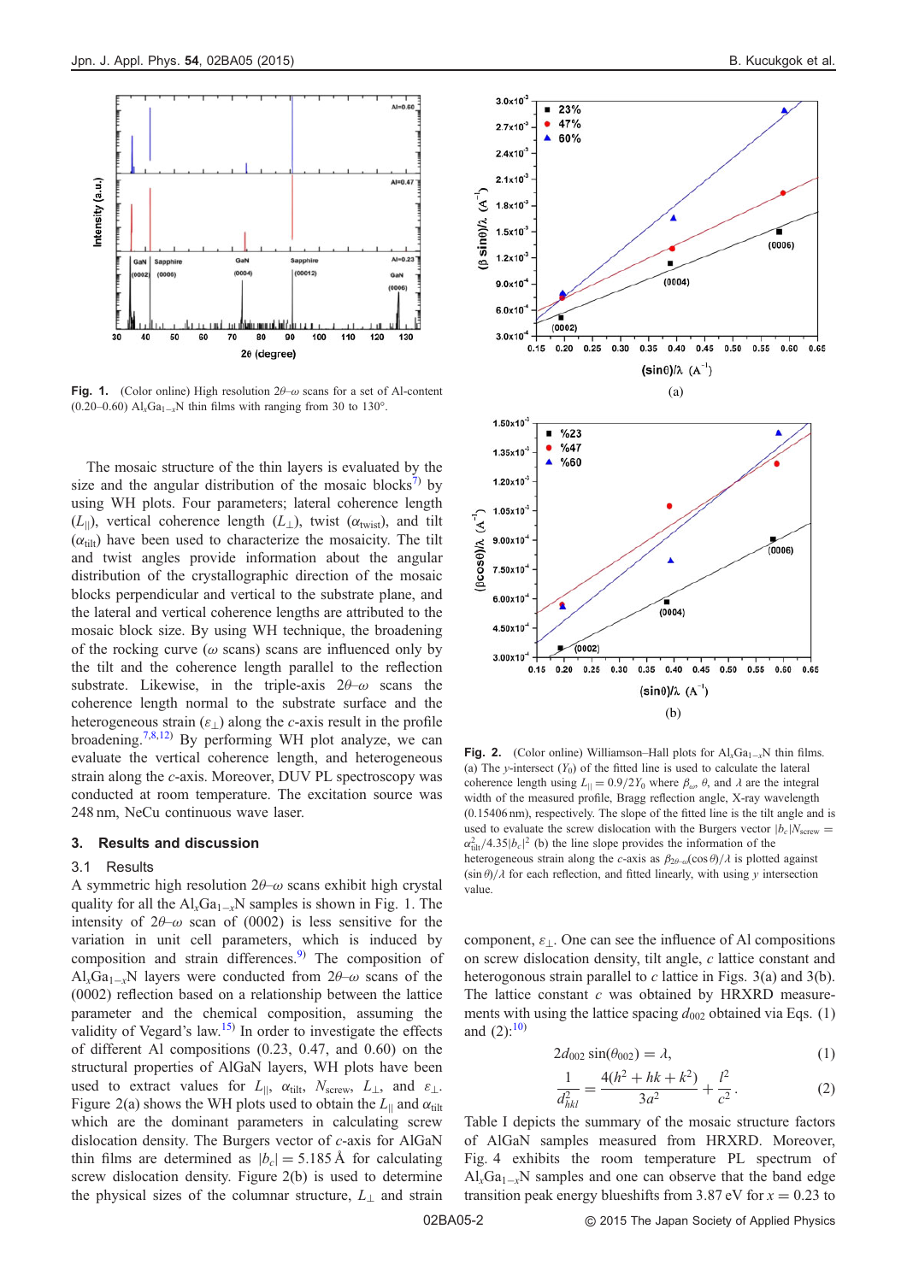<span id="page-2-0"></span>

Fig. 1. (Color online) High resolution  $2\theta-\omega$  scans for a set of Al-content (0.20–0.60)  $Al_xGa_{1-x}N$  thin films with ranging from 30 to 130°.

The mosaic structure of the thin layers is evaluated by the size and the angular distribution of the mosaic blocks<sup>[7](#page-5-0))</sup> by using WH plots. Four parameters; lateral coherence length  $(L_{\parallel})$ , vertical coherence length  $(L_{\perp})$ , twist  $(\alpha_{\text{twist}})$ , and tilt  $(\alpha_{\text{tilt}})$  have been used to characterize the mosaicity. The tilt and twist angles provide information about the angular distribution of the crystallographic direction of the mosaic blocks perpendicular and vertical to the substrate plane, and the lateral and vertical coherence lengths are attributed to the mosaic block size. By using WH technique, the broadening of the rocking curve ( $\omega$  scans) scans are influenced only by the tilt and the coherence length parallel to the reflection substrate. Likewise, in the triple-axis  $2\theta-\omega$  scans the coherence length normal to the substrate surface and the heterogeneous strain  $(\varepsilon_{\perp})$  along the c-axis result in the profile broadening.<sup>[7,8,12](#page-5-0))</sup> By performing WH plot analyze, we can evaluate the vertical coherence length, and heterogeneous strain along the c-axis. Moreover, DUV PL spectroscopy was conducted at room temperature. The excitation source was 248 nm, NeCu continuous wave laser.

#### 3. Results and discussion

#### 3.1 Results

A symmetric high resolution  $2\theta-\omega$  scans exhibit high crystal quality for all the  $Al_xGa_{1-x}N$  samples is shown in Fig. 1. The intensity of  $2\theta-\omega$  scan of (0002) is less sensitive for the variation in unit cell parameters, which is induced by composition and strain differences.<sup>[9\)](#page-5-0)</sup> The composition of  $Al_xGa_{1-x}N$  layers were conducted from  $2\theta-\omega$  scans of the (0002) reflection based on a relationship between the lattice parameter and the chemical composition, assuming the validity of Vegard's law.<sup>[15](#page-5-0))</sup> In order to investigate the effects of different Al compositions (0.23, 0.47, and 0.60) on the structural properties of AlGaN layers, WH plots have been used to extract values for  $L_{\parallel}$ ,  $\alpha_{\text{tilt}}$ ,  $N_{\text{screw}}, L_{\perp}$ , and  $\varepsilon_{\perp}$ . Figure 2(a) shows the WH plots used to obtain the  $L_{\parallel}$  and  $\alpha_{\text{tilt}}$ which are the dominant parameters in calculating screw dislocation density. The Burgers vector of c-axis for AlGaN thin films are determined as  $|b_c| = 5.185 \text{ Å}$  for calculating screw dislocation density. Figure 2(b) is used to determine the physical sizes of the columnar structure,  $L_{\perp}$  and strain



**Fig. 2.** (Color online) Williamson–Hall plots for  $AI_xGa_{1-x}N$  thin films. (a) The y-intersect  $(Y_0)$  of the fitted line is used to calculate the lateral coherence length using  $L_{\parallel} = 0.9/2Y_0$  where  $\beta_{\omega}$ ,  $\theta$ , and  $\lambda$  are the integral width of the measured profile, Bragg reflection angle, X-ray wavelength (0.15406 nm), respectively. The slope of the fitted line is the tilt angle and is used to evaluate the screw dislocation with the Burgers vector  $|b_c|N_{\text{screen}} =$  $\alpha_{\text{tilt}}^2/4.35|b_c|^2$  (b) the line slope provides the information of the heterogeneous strain along the c-axis as  $\beta_{2\theta-\omega}(\cos\theta)/\lambda$  is plotted against  $(\sin \theta)/\lambda$  for each reflection, and fitted linearly, with using y intersection value.

component,  $\varepsilon_{\perp}$ . One can see the influence of Al compositions on screw dislocation density, tilt angle, c lattice constant and heterogonous strain parallel to c lattice in Figs.  $3(a)$  and  $3(b)$ . The lattice constant  $c$  was obtained by HRXRD measurements with using the lattice spacing  $d_{002}$  obtained via Eqs. (1) and  $(2)$ :<sup>[10\)](#page-5-0)</sup>

$$
2d_{002}\sin(\theta_{002}) = \lambda,\tag{1}
$$

$$
\frac{1}{d_{hkl}^2} = \frac{4(h^2 + hk + k^2)}{3a^2} + \frac{l^2}{c^2}.
$$
 (2)

Table I depicts the summary of the mosaic structure factors of AlGaN samples measured from HRXRD. Moreover, Fig. [4](#page-3-0) exhibits the room temperature PL spectrum of  $Al_xGa_{1-x}N$  samples and one can observe that the band edge transition peak energy blueshifts from 3.87 eV for  $x = 0.23$  to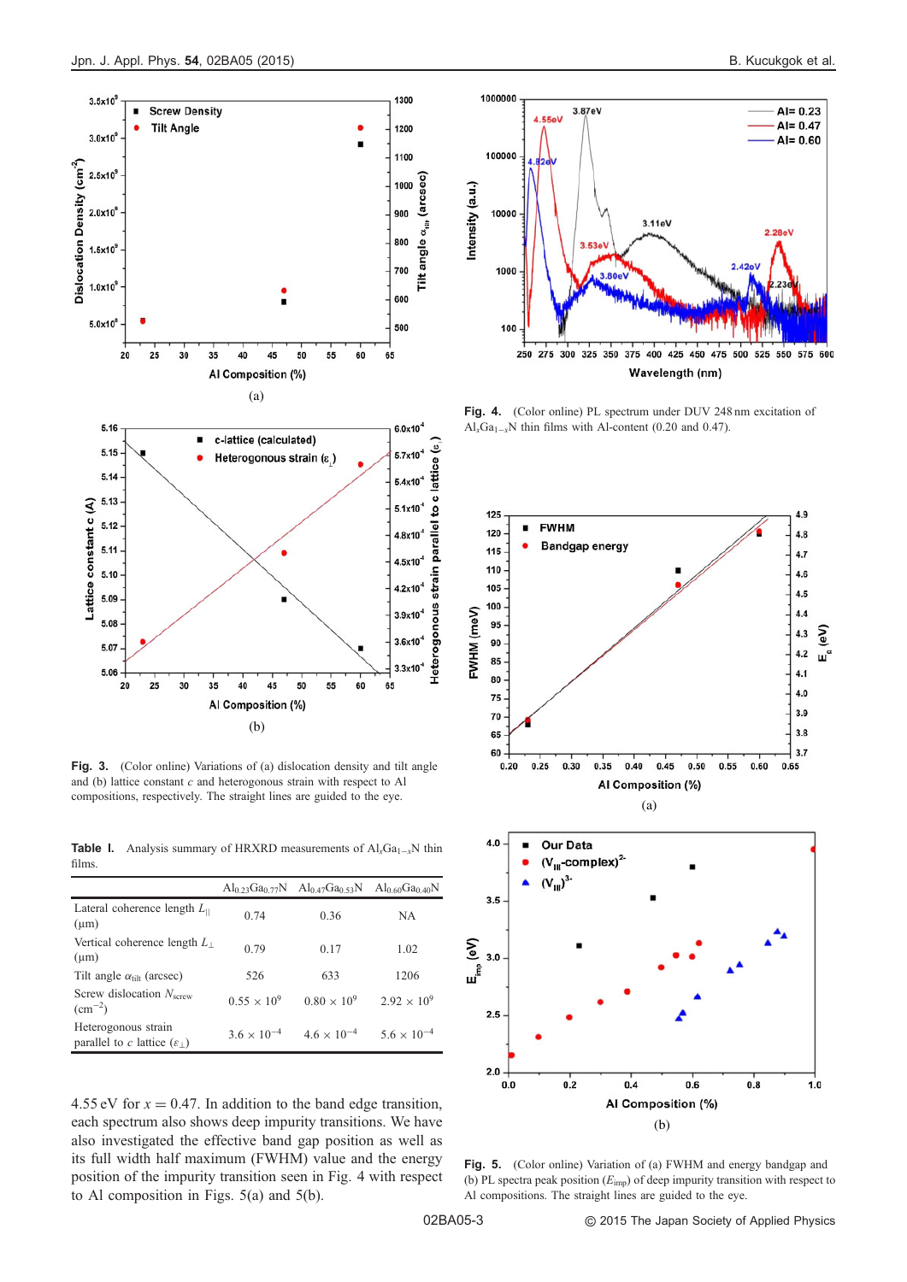<span id="page-3-0"></span>

Fig. 3. (Color online) Variations of (a) dislocation density and tilt angle and (b) lattice constant  $c$  and heterogonous strain with respect to Al compositions, respectively. The straight lines are guided to the eye.

**Table 1.** Analysis summary of HRXRD measurements of  $AI_xGa_{1-x}N$  thin films.

|                                                                | Al <sub>0.23</sub> Ga <sub>0.77</sub> N | $Al_{0.47}Ga_{0.53}N$ $Al_{0.60}Ga_{0.40}N$ |                      |
|----------------------------------------------------------------|-----------------------------------------|---------------------------------------------|----------------------|
| Lateral coherence length $L_{\parallel}$<br>$(\mu m)$          | 0.74                                    | 0.36                                        | NA.                  |
| Vertical coherence length $L_{\perp}$<br>$(\mu m)$             | 0.79                                    | 0.17                                        | 1.02                 |
| Tilt angle $\alpha_{\text{tilt}}$ (arcsec)                     | 526                                     | 633                                         | 1206                 |
| Screw dislocation $Nserve$<br>$\rm (cm^{-2})$                  | $0.55 \times 10^{9}$                    | $0.80 \times 10^{9}$                        | $2.92 \times 10^{9}$ |
| Heterogonous strain<br>parallel to c lattice $(\varepsilon_1)$ | $3.6 \times 10^{-4}$                    | $4.6 \times 10^{-4}$                        | $5.6 \times 10^{-4}$ |
|                                                                |                                         |                                             |                      |

4.55 eV for  $x = 0.47$ . In addition to the band edge transition, each spectrum also shows deep impurity transitions. We have also investigated the effective band gap position as well as its full width half maximum (FWHM) value and the energy position of the impurity transition seen in Fig. 4 with respect to Al composition in Figs. 5(a) and 5(b).



Fig. 4. (Color online) PL spectrum under DUV 248 nm excitation of  $Al_xGa_{1-x}N$  thin films with Al-content (0.20 and 0.47).



Fig. 5. (Color online) Variation of (a) FWHM and energy bandgap and (b) PL spectra peak position  $(E_{\text{imp}})$  of deep impurity transition with respect to Al compositions. The straight lines are guided to the eye.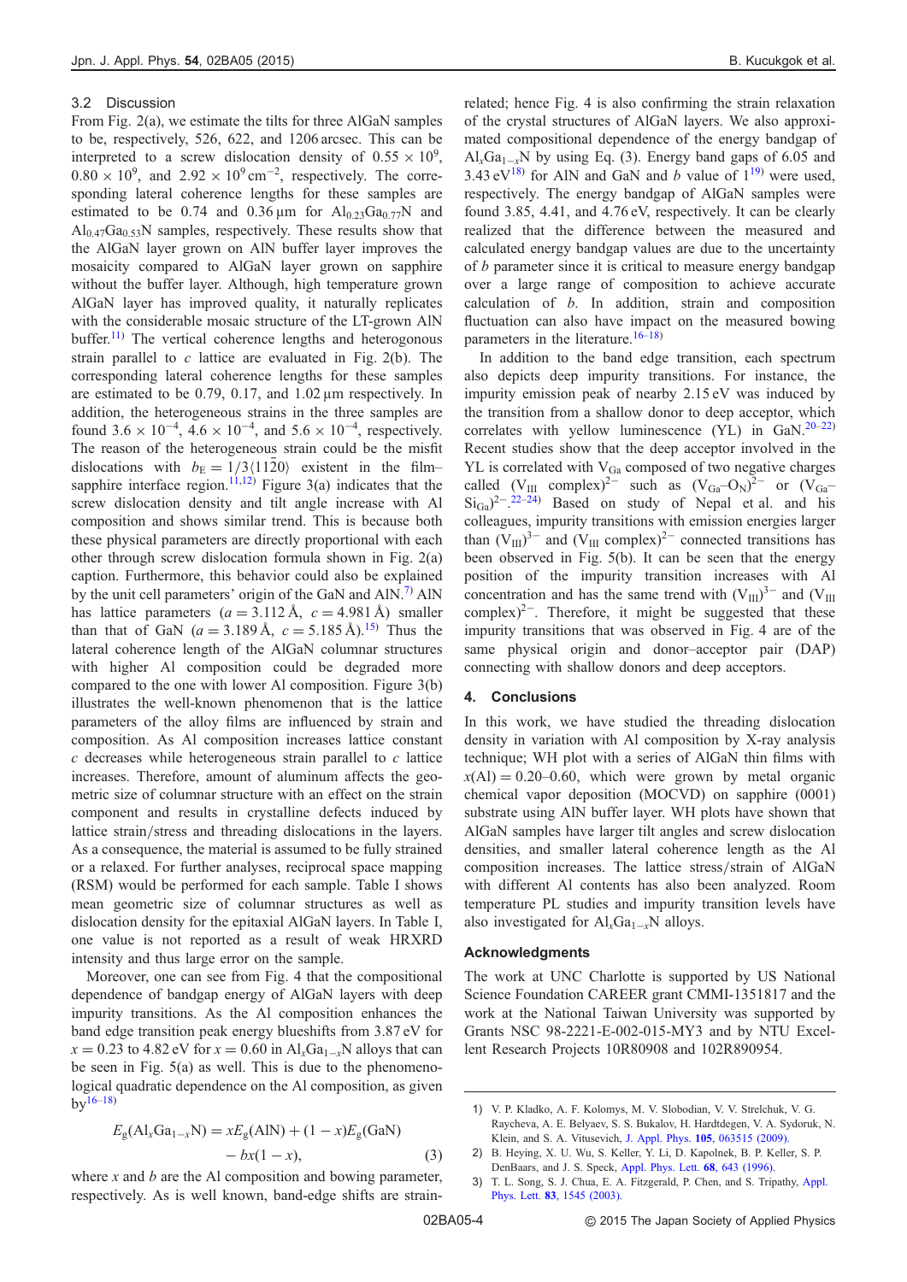#### <span id="page-4-0"></span>3.2 Discussion

From Fig. [2\(](#page-2-0)a), we estimate the tilts for three AlGaN samples to be, respectively, 526, 622, and 1206 arcsec. This can be interpreted to a screw dislocation density of  $0.55 \times 10^9$ ,  $0.80 \times 10^9$ , and  $2.92 \times 10^9$  cm<sup>-2</sup>, respectively. The corresponding lateral coherence lengths for these samples are estimated to be 0.74 and 0.36  $\mu$ m for Al<sub>0.23</sub>Ga<sub>0.77</sub>N and  $Al<sub>0.47</sub>Ga<sub>0.53</sub>N$  samples, respectively. These results show that the AlGaN layer grown on AlN buffer layer improves the mosaicity compared to AlGaN layer grown on sapphire without the buffer layer. Although, high temperature grown AlGaN layer has improved quality, it naturally replicates with the considerable mosaic structure of the LT-grown AlN buffer.<sup>[11](#page-5-0))</sup> The vertical coherence lengths and heterogonous strain parallel to  $c$  lattice are evaluated in Fig. [2](#page-2-0)(b). The corresponding lateral coherence lengths for these samples are estimated to be 0.79, 0.17, and 1.02 µm respectively. In addition, the heterogeneous strains in the three samples are found  $3.6 \times 10^{-4}$ ,  $4.6 \times 10^{-4}$ , and  $5.6 \times 10^{-4}$ , respectively. The reason of the heterogeneous strain could be the misfit dislocations with  $b_E = 1/3\langle 1120 \rangle$  existent in the film– sapphire interface region.<sup>[11](#page-5-0),[12\)](#page-5-0)</sup> Figure [3](#page-3-0)(a) indicates that the screw dislocation density and tilt angle increase with Al composition and shows similar trend. This is because both these physical parameters are directly proportional with each other through screw dislocation formula shown in Fig. [2\(](#page-2-0)a) caption. Furthermore, this behavior could also be explained by the unit cell parameters' origin of the GaN and  $AlN$ .<sup>7)</sup> AlN has lattice parameters  $(a = 3.112 \text{ Å}, c = 4.981 \text{ Å})$  smaller than that of GaN  $(a = 3.189 \text{ Å}, c = 5.185 \text{ Å})^{15}$  $(a = 3.189 \text{ Å}, c = 5.185 \text{ Å})^{15}$  $(a = 3.189 \text{ Å}, c = 5.185 \text{ Å})^{15}$  Thus the lateral coherence length of the AlGaN columnar structures with higher Al composition could be degraded more compared to the one with lower Al composition. Figure [3](#page-3-0)(b) illustrates the well-known phenomenon that is the lattice parameters of the alloy films are influenced by strain and composition. As Al composition increases lattice constant  $c$  decreases while heterogeneous strain parallel to  $c$  lattice increases. Therefore, amount of aluminum affects the geometric size of columnar structure with an effect on the strain component and results in crystalline defects induced by lattice strain/stress and threading dislocations in the layers. As a consequence, the material is assumed to be fully strained or a relaxed. For further analyses, reciprocal space mapping (RSM) would be performed for each sample. Table I shows mean geometric size of columnar structures as well as dislocation density for the epitaxial AlGaN layers. In Table I, one value is not reported as a result of weak HRXRD intensity and thus large error on the sample.

Moreover, one can see from Fig. [4](#page-3-0) that the compositional dependence of bandgap energy of AlGaN layers with deep impurity transitions. As the Al composition enhances the band edge transition peak energy blueshifts from 3.87 eV for  $x = 0.23$  to 4.82 eV for  $x = 0.60$  in  $\text{Al}_x\text{Ga}_{1-x}$ N alloys that can be seen in Fig. [5](#page-3-0)(a) as well. This is due to the phenomenological quadratic dependence on the Al composition, as given  $bv^{16-18}$  $bv^{16-18}$  $bv^{16-18}$  $bv^{16-18}$  $bv^{16-18}$ 

$$
E_{g}(Al_{x}Ga_{1-x}N) = xE_{g}(AlN) + (1 - x)E_{g}(GaN)
$$

$$
-bx(1 - x),
$$
 (3)

where  $x$  and  $b$  are the Al composition and bowing parameter, respectively. As is well known, band-edge shifts are strain-

related; hence Fig. [4](#page-3-0) is also confirming the strain relaxation of the crystal structures of AlGaN layers. We also approximated compositional dependence of the energy bandgap of  $Al_xGa_{1-x}N$  by using Eq. (3). Energy band gaps of 6.05 and 3.43 eV<sup>[18](#page-5-0))</sup> for AlN and GaN and b value of  $1^{19}$  were used, respectively. The energy bandgap of AlGaN samples were found 3.85, 4.41, and 4.76 eV, respectively. It can be clearly realized that the difference between the measured and calculated energy bandgap values are due to the uncertainty of *b* parameter since it is critical to measure energy bandgap over a large range of composition to achieve accurate calculation of b. In addition, strain and composition fluctuation can also have impact on the measured bowing parameters in the literature. $16-18$  $16-18$ )

In addition to the band edge transition, each spectrum also depicts deep impurity transitions. For instance, the impurity emission peak of nearby 2.15 eV was induced by the transition from a shallow donor to deep acceptor, which correlates with yellow luminescence (YL) in  $GaN$ .<sup>[20](#page-5-0)–[22](#page-5-0))</sup> Recent studies show that the deep acceptor involved in the YL is correlated with  $V_{Ga}$  composed of two negative charges called  $(V_{III}$  complex)<sup>2-</sup> such as  $(V_{Ga}-O_N)^{2-}$  or  $(V_{Ga}$  $\text{Si}_{\text{Ga}}$ <sup>2---[22](#page-5-0)-[24\)](#page-5-0)</sup> Based on study of Nepal et al. and his colleagues, impurity transitions with emission energies larger than  $(V_{III})^{3-}$  and  $(V_{III})$  complex)<sup>2-</sup> connected transitions has been observed in Fig. [5](#page-3-0)(b). It can be seen that the energy position of the impurity transition increases with Al concentration and has the same trend with  $(V_{III})^{3-}$  and  $(V_{III})$ complex)<sup>2-</sup>. Therefore, it might be suggested that these impurity transitions that was observed in Fig. [4](#page-3-0) are of the same physical origin and donor–acceptor pair (DAP) connecting with shallow donors and deep acceptors.

#### 4. Conclusions

In this work, we have studied the threading dislocation density in variation with Al composition by X-ray analysis technique; WH plot with a series of AlGaN thin films with  $x(A) = 0.20{\text -}0.60$ , which were grown by metal organic chemical vapor deposition (MOCVD) on sapphire (0001) substrate using AlN buffer layer. WH plots have shown that AlGaN samples have larger tilt angles and screw dislocation densities, and smaller lateral coherence length as the Al composition increases. The lattice stress/strain of AlGaN with different Al contents has also been analyzed. Room temperature PL studies and impurity transition levels have also investigated for  $Al_xGa_{1-x}N$  alloys.

#### Acknowledgments

The work at UNC Charlotte is supported by US National Science Foundation CAREER grant CMMI-1351817 and the work at the National Taiwan University was supported by Grants NSC 98-2221-E-002-015-MY3 and by NTU Excellent Research Projects 10R80908 and 102R890954.

<sup>1)</sup> V. P. Kladko, A. F. Kolomys, M. V. Slobodian, V. V. Strelchuk, V. G. Raycheva, A. E. Belyaev, S. S. Bukalov, H. Hardtdegen, V. A. Sydoruk, N. Klein, and S. A. Vitusevich, J. Appl. Phys. 105[, 063515 \(2009\).](http://dx.doi.org/10.1063/1.3094022)

<sup>2)</sup> B. Heying, X. U. Wu, S. Keller, Y. Li, D. Kapolnek, B. P. Keller, S. P. DenBaars, and J. S. Speck, [Appl. Phys. Lett.](http://dx.doi.org/10.1063/1.116495) 68, 643 (1996).

<sup>3)</sup> T. L. Song, S. J. Chua, E. A. Fitzgerald, P. Chen, and S. Tripathy, [Appl.](http://dx.doi.org/10.1063/1.1598295) Phys. Lett. 83[, 1545 \(2003\).](http://dx.doi.org/10.1063/1.1598295)